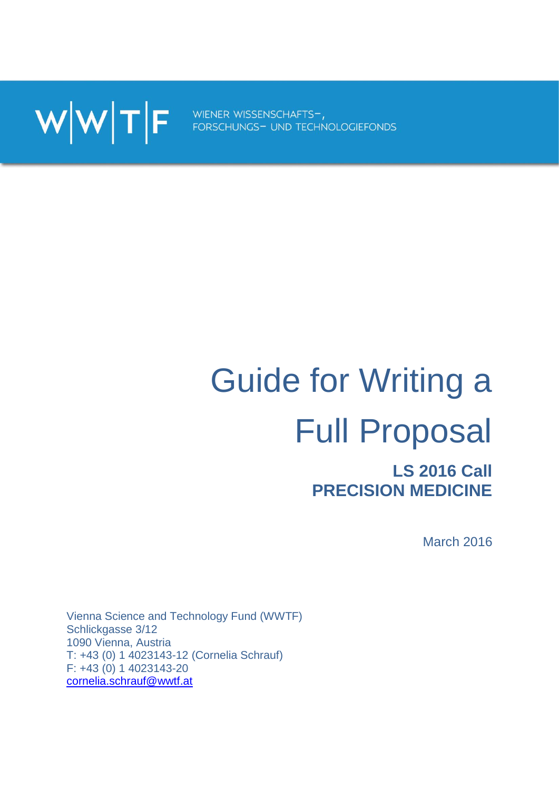WWTF FORSCHUNGS- UND TECHNOLOGIEFONDS

# Guide for Writing a Full Proposal

# **LS 2016 Call PRECISION MEDICINE**

March 2016

Vienna Science and Technology Fund (WWTF) Schlickgasse 3/12 1090 Vienna, Austria T: +43 (0) 1 4023143-12 (Cornelia Schrauf) F: +43 (0) 1 4023143-20 [cornelia.schrauf@wwtf.at](mailto:cornelia.schrauf@wwtf.at)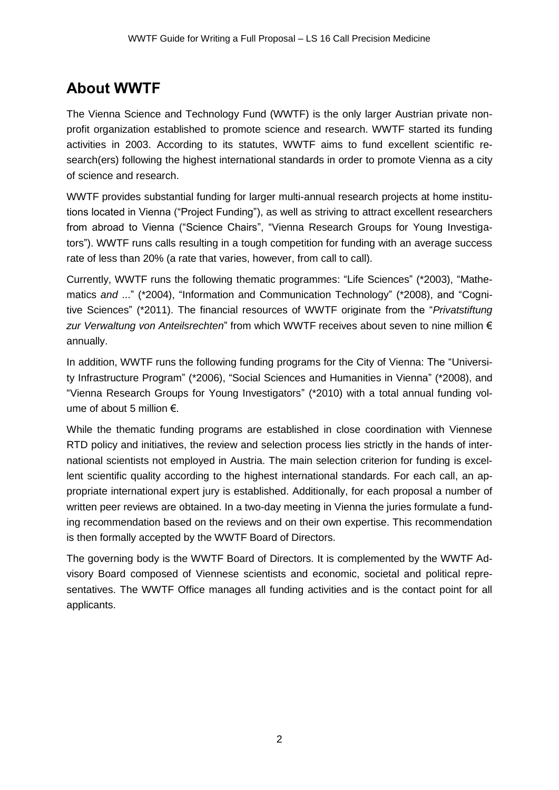# **About WWTF**

The Vienna Science and Technology Fund (WWTF) is the only larger Austrian private nonprofit organization established to promote science and research. WWTF started its funding activities in 2003. According to its statutes, WWTF aims to fund excellent scientific research(ers) following the highest international standards in order to promote Vienna as a city of science and research.

WWTF provides substantial funding for larger multi-annual research projects at home institutions located in Vienna ("Project Funding"), as well as striving to attract excellent researchers from abroad to Vienna ("Science Chairs", "Vienna Research Groups for Young Investigators"). WWTF runs calls resulting in a tough competition for funding with an average success rate of less than 20% (a rate that varies, however, from call to call).

Currently, WWTF runs the following thematic programmes: "Life Sciences" (\*2003), "Mathematics *and* ..." (\*2004), "Information and Communication Technology" (\*2008), and "Cognitive Sciences" (\*2011). The financial resources of WWTF originate from the "*Privatstiftung zur Verwaltung von Anteilsrechten*" from which WWTF receives about seven to nine million € annually.

In addition, WWTF runs the following funding programs for the City of Vienna: The "University Infrastructure Program" (\*2006), "Social Sciences and Humanities in Vienna" (\*2008), and "Vienna Research Groups for Young Investigators" (\*2010) with a total annual funding volume of about 5 million €.

While the thematic funding programs are established in close coordination with Viennese RTD policy and initiatives, the review and selection process lies strictly in the hands of international scientists not employed in Austria. The main selection criterion for funding is excellent scientific quality according to the highest international standards. For each call, an appropriate international expert jury is established. Additionally, for each proposal a number of written peer reviews are obtained. In a two-day meeting in Vienna the juries formulate a funding recommendation based on the reviews and on their own expertise. This recommendation is then formally accepted by the WWTF Board of Directors.

The governing body is the WWTF Board of Directors. It is complemented by the WWTF Advisory Board composed of Viennese scientists and economic, societal and political representatives. The WWTF Office manages all funding activities and is the contact point for all applicants.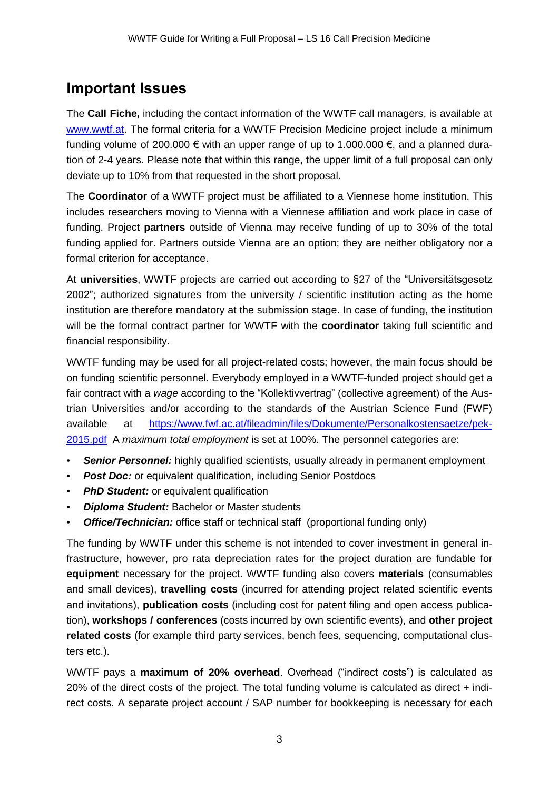## **Important Issues**

The **Call Fiche,** including the contact information of the WWTF call managers, is available at [www.wwtf.at.](http://www.wwtf.at/) The formal criteria for a WWTF Precision Medicine project include a minimum funding volume of 200.000 € with an upper range of up to 1.000.000 €, and a planned duration of 2-4 years. Please note that within this range, the upper limit of a full proposal can only deviate up to 10% from that requested in the short proposal.

The **Coordinator** of a WWTF project must be affiliated to a Viennese home institution. This includes researchers moving to Vienna with a Viennese affiliation and work place in case of funding. Project **partners** outside of Vienna may receive funding of up to 30% of the total funding applied for. Partners outside Vienna are an option; they are neither obligatory nor a formal criterion for acceptance.

At **universities**, WWTF projects are carried out according to §27 of the "Universitätsgesetz 2002"; authorized signatures from the university / scientific institution acting as the home institution are therefore mandatory at the submission stage. In case of funding, the institution will be the formal contract partner for WWTF with the **coordinator** taking full scientific and financial responsibility.

WWTF funding may be used for all project-related costs; however, the main focus should be on funding scientific personnel. Everybody employed in a WWTF-funded project should get a fair contract with a *wage* according to the "Kollektivvertrag" (collective agreement) of the Austrian Universities and/or according to the standards of the Austrian Science Fund (FWF) available at [https://www.fwf.ac.at/fileadmin/files/Dokumente/Personalkostensaetze/pek-](https://www.fwf.ac.at/fileadmin/files/Dokumente/Personalkostensaetze/pek-2015.pdf)[2015.pdf](https://www.fwf.ac.at/fileadmin/files/Dokumente/Personalkostensaetze/pek-2015.pdf) A *maximum total employment* is set at 100%. The personnel categories are:

- **Senior Personnel:** highly qualified scientists, usually already in permanent employment
- *Post Doc:* or equivalent qualification, including Senior Postdocs
- *PhD Student:* or equivalent qualification
- *Diploma Student:* Bachelor or Master students
- *Office/Technician:* office staff or technical staff (proportional funding only)

The funding by WWTF under this scheme is not intended to cover investment in general infrastructure, however, pro rata depreciation rates for the project duration are fundable for **equipment** necessary for the project. WWTF funding also covers **materials** (consumables and small devices), **travelling costs** (incurred for attending project related scientific events and invitations), **publication costs** (including cost for patent filing and open access publication), **workshops / conferences** (costs incurred by own scientific events), and **other project related costs** (for example third party services, bench fees, sequencing, computational clusters etc.).

WWTF pays a **maximum of 20% overhead**. Overhead ("indirect costs") is calculated as 20% of the direct costs of the project. The total funding volume is calculated as direct + indirect costs. A separate project account / SAP number for bookkeeping is necessary for each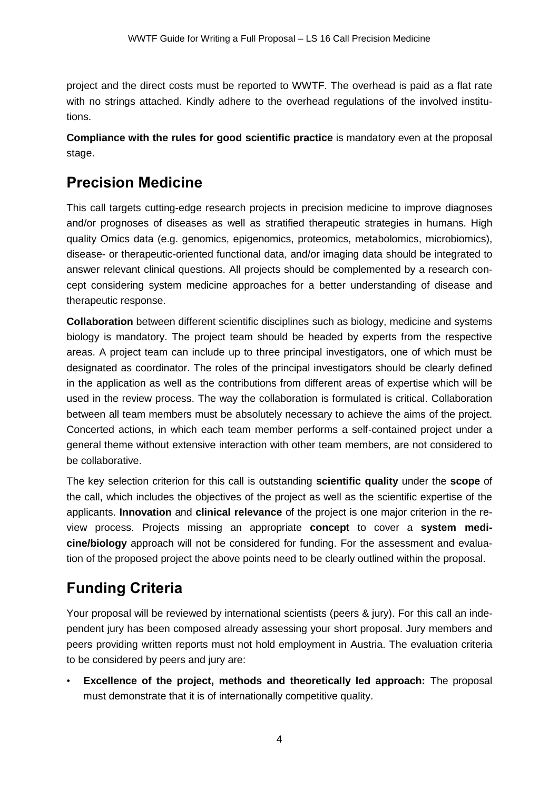project and the direct costs must be reported to WWTF. The overhead is paid as a flat rate with no strings attached. Kindly adhere to the overhead regulations of the involved institutions.

**Compliance with the rules for good scientific practice** is mandatory even at the proposal stage.

# **Precision Medicine**

This call targets cutting-edge research projects in precision medicine to improve diagnoses and/or prognoses of diseases as well as stratified therapeutic strategies in humans. High quality Omics data (e.g. genomics, epigenomics, proteomics, metabolomics, microbiomics), disease- or therapeutic-oriented functional data, and/or imaging data should be integrated to answer relevant clinical questions. All projects should be complemented by a research concept considering system medicine approaches for a better understanding of disease and therapeutic response.

**Collaboration** between different scientific disciplines such as biology, medicine and systems biology is mandatory. The project team should be headed by experts from the respective areas. A project team can include up to three principal investigators, one of which must be designated as coordinator. The roles of the principal investigators should be clearly defined in the application as well as the contributions from different areas of expertise which will be used in the review process. The way the collaboration is formulated is critical. Collaboration between all team members must be absolutely necessary to achieve the aims of the project. Concerted actions, in which each team member performs a self-contained project under a general theme without extensive interaction with other team members, are not considered to be collaborative.

The key selection criterion for this call is outstanding **scientific quality** under the **scope** of the call, which includes the objectives of the project as well as the scientific expertise of the applicants. **Innovation** and **clinical relevance** of the project is one major criterion in the review process. Projects missing an appropriate **concept** to cover a **system medicine/biology** approach will not be considered for funding. For the assessment and evaluation of the proposed project the above points need to be clearly outlined within the proposal.

# **Funding Criteria**

Your proposal will be reviewed by international scientists (peers & jury). For this call an independent jury has been composed already assessing your short proposal. Jury members and peers providing written reports must not hold employment in Austria. The evaluation criteria to be considered by peers and jury are:

• **Excellence of the project, methods and theoretically led approach:** The proposal must demonstrate that it is of internationally competitive quality.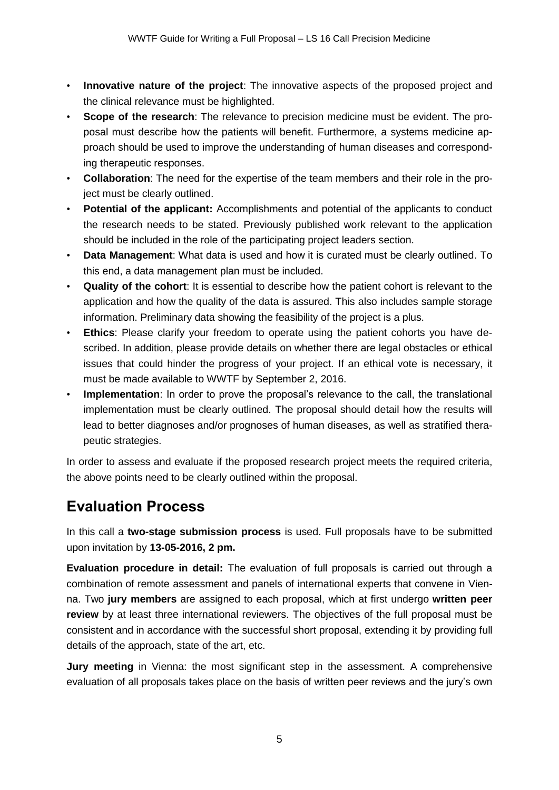- **Innovative nature of the project**: The innovative aspects of the proposed project and the clinical relevance must be highlighted.
- **Scope of the research**: The relevance to precision medicine must be evident. The proposal must describe how the patients will benefit. Furthermore, a systems medicine approach should be used to improve the understanding of human diseases and corresponding therapeutic responses.
- **Collaboration**: The need for the expertise of the team members and their role in the project must be clearly outlined.
- **Potential of the applicant:** Accomplishments and potential of the applicants to conduct the research needs to be stated. Previously published work relevant to the application should be included in the role of the participating project leaders section.
- **Data Management**: What data is used and how it is curated must be clearly outlined. To this end, a data management plan must be included.
- **Quality of the cohort**: It is essential to describe how the patient cohort is relevant to the application and how the quality of the data is assured. This also includes sample storage information. Preliminary data showing the feasibility of the project is a plus.
- **Ethics**: Please clarify your freedom to operate using the patient cohorts you have described. In addition, please provide details on whether there are legal obstacles or ethical issues that could hinder the progress of your project. If an ethical vote is necessary, it must be made available to WWTF by September 2, 2016.
- **Implementation**: In order to prove the proposal's relevance to the call, the translational implementation must be clearly outlined. The proposal should detail how the results will lead to better diagnoses and/or prognoses of human diseases, as well as stratified therapeutic strategies.

In order to assess and evaluate if the proposed research project meets the required criteria, the above points need to be clearly outlined within the proposal.

# **Evaluation Process**

In this call a **two-stage submission process** is used. Full proposals have to be submitted upon invitation by **13-05-2016, 2 pm.**

**Evaluation procedure in detail:** The evaluation of full proposals is carried out through a combination of remote assessment and panels of international experts that convene in Vienna. Two **jury members** are assigned to each proposal, which at first undergo **written peer review** by at least three international reviewers. The objectives of the full proposal must be consistent and in accordance with the successful short proposal, extending it by providing full details of the approach, state of the art, etc.

**Jury meeting** in Vienna: the most significant step in the assessment. A comprehensive evaluation of all proposals takes place on the basis of written peer reviews and the jury's own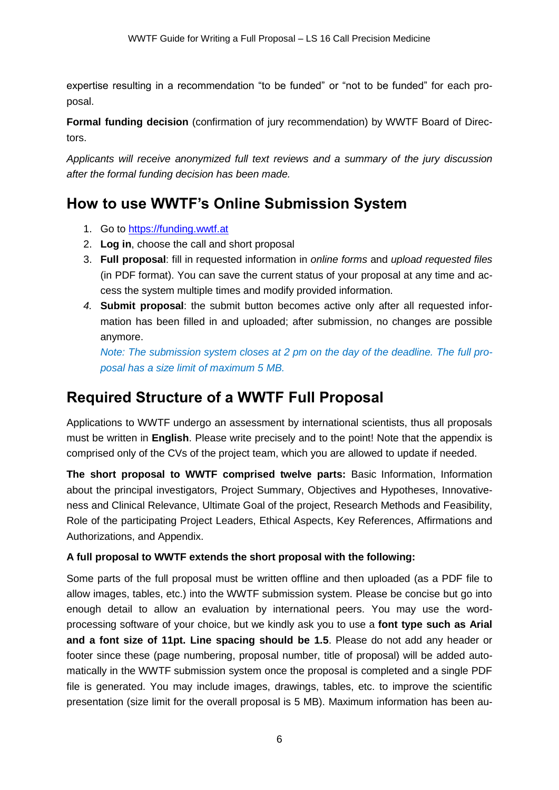expertise resulting in a recommendation "to be funded" or "not to be funded" for each proposal.

**Formal funding decision** (confirmation of jury recommendation) by WWTF Board of Directors.

*Applicants will receive anonymized full text reviews and a summary of the jury discussion after the formal funding decision has been made.*

# **How to use WWTF's Online Submission System**

- 1. Go to [https://funding.wwtf.at](https://funding.wwtf.at/)
- 2. **Log in**, choose the call and short proposal
- 3. **Full proposal**: fill in requested information in *online forms* and *upload requested files* (in PDF format). You can save the current status of your proposal at any time and access the system multiple times and modify provided information.
- *4.* **Submit proposal**: the submit button becomes active only after all requested information has been filled in and uploaded; after submission, no changes are possible anymore.

*Note: The submission system closes at 2 pm on the day of the deadline. The full proposal has a size limit of maximum 5 MB.*

# **Required Structure of a WWTF Full Proposal**

Applications to WWTF undergo an assessment by international scientists, thus all proposals must be written in **English**. Please write precisely and to the point! Note that the appendix is comprised only of the CVs of the project team, which you are allowed to update if needed.

**The short proposal to WWTF comprised twelve parts:** Basic Information, Information about the principal investigators, Project Summary, Objectives and Hypotheses, Innovativeness and Clinical Relevance, Ultimate Goal of the project, Research Methods and Feasibility, Role of the participating Project Leaders, Ethical Aspects, Key References, Affirmations and Authorizations, and Appendix.

#### **A full proposal to WWTF extends the short proposal with the following:**

Some parts of the full proposal must be written offline and then uploaded (as a PDF file to allow images, tables, etc.) into the WWTF submission system. Please be concise but go into enough detail to allow an evaluation by international peers. You may use the wordprocessing software of your choice, but we kindly ask you to use a **font type such as Arial and a font size of 11pt. Line spacing should be 1.5**. Please do not add any header or footer since these (page numbering, proposal number, title of proposal) will be added automatically in the WWTF submission system once the proposal is completed and a single PDF file is generated. You may include images, drawings, tables, etc. to improve the scientific presentation (size limit for the overall proposal is 5 MB). Maximum information has been au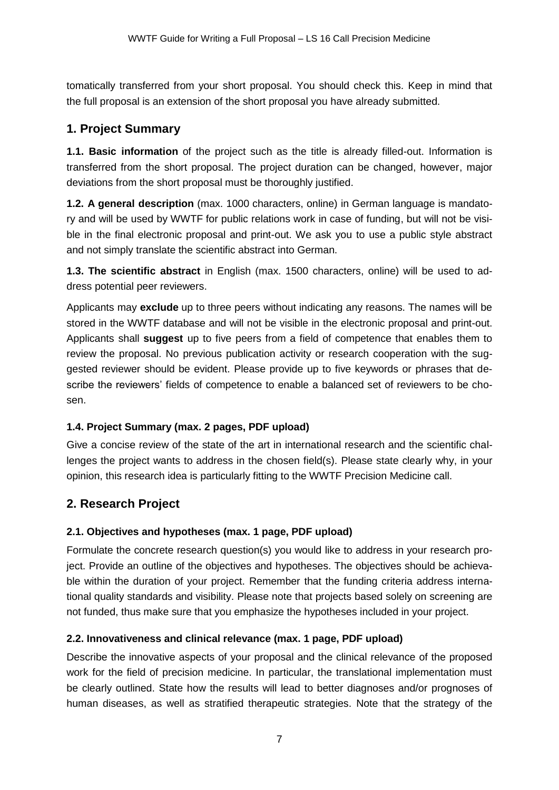tomatically transferred from your short proposal. You should check this. Keep in mind that the full proposal is an extension of the short proposal you have already submitted.

## **1. Project Summary**

**1.1. Basic information** of the project such as the title is already filled-out. Information is transferred from the short proposal. The project duration can be changed, however, major deviations from the short proposal must be thoroughly justified.

**1.2. A general description** (max. 1000 characters, online) in German language is mandatory and will be used by WWTF for public relations work in case of funding, but will not be visible in the final electronic proposal and print-out. We ask you to use a public style abstract and not simply translate the scientific abstract into German.

**1.3. The scientific abstract** in English (max. 1500 characters, online) will be used to address potential peer reviewers.

Applicants may **exclude** up to three peers without indicating any reasons. The names will be stored in the WWTF database and will not be visible in the electronic proposal and print-out. Applicants shall **suggest** up to five peers from a field of competence that enables them to review the proposal. No previous publication activity or research cooperation with the suggested reviewer should be evident. Please provide up to five keywords or phrases that describe the reviewers' fields of competence to enable a balanced set of reviewers to be chosen.

#### **1.4. Project Summary (max. 2 pages, PDF upload)**

Give a concise review of the state of the art in international research and the scientific challenges the project wants to address in the chosen field(s). Please state clearly why, in your opinion, this research idea is particularly fitting to the WWTF Precision Medicine call.

## **2. Research Project**

#### **2.1. Objectives and hypotheses (max. 1 page, PDF upload)**

Formulate the concrete research question(s) you would like to address in your research project. Provide an outline of the objectives and hypotheses. The objectives should be achievable within the duration of your project. Remember that the funding criteria address international quality standards and visibility. Please note that projects based solely on screening are not funded, thus make sure that you emphasize the hypotheses included in your project.

#### **2.2. Innovativeness and clinical relevance (max. 1 page, PDF upload)**

Describe the innovative aspects of your proposal and the clinical relevance of the proposed work for the field of precision medicine. In particular, the translational implementation must be clearly outlined. State how the results will lead to better diagnoses and/or prognoses of human diseases, as well as stratified therapeutic strategies. Note that the strategy of the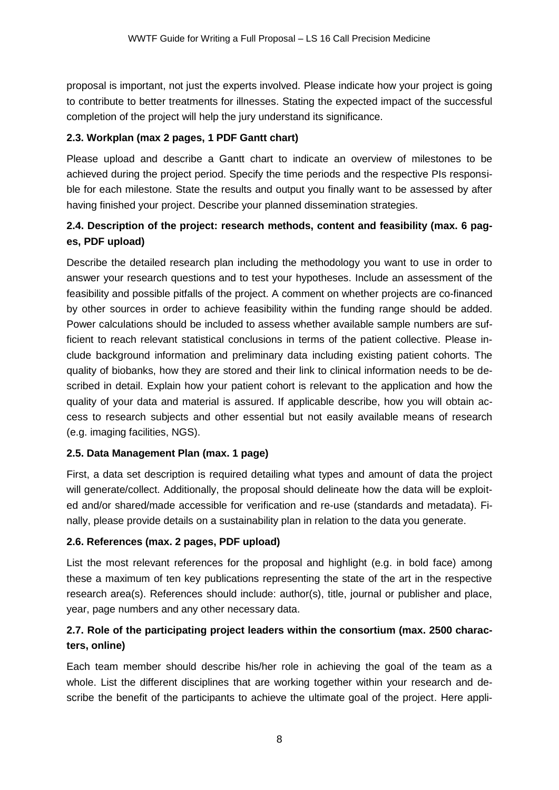proposal is important, not just the experts involved. Please indicate how your project is going to contribute to better treatments for illnesses. Stating the expected impact of the successful completion of the project will help the jury understand its significance.

#### **2.3. Workplan (max 2 pages, 1 PDF Gantt chart)**

Please upload and describe a Gantt chart to indicate an overview of milestones to be achieved during the project period. Specify the time periods and the respective PIs responsible for each milestone. State the results and output you finally want to be assessed by after having finished your project. Describe your planned dissemination strategies.

#### **2.4. Description of the project: research methods, content and feasibility (max. 6 pages, PDF upload)**

Describe the detailed research plan including the methodology you want to use in order to answer your research questions and to test your hypotheses. Include an assessment of the feasibility and possible pitfalls of the project. A comment on whether projects are co-financed by other sources in order to achieve feasibility within the funding range should be added. Power calculations should be included to assess whether available sample numbers are sufficient to reach relevant statistical conclusions in terms of the patient collective. Please include background information and preliminary data including existing patient cohorts. The quality of biobanks, how they are stored and their link to clinical information needs to be described in detail. Explain how your patient cohort is relevant to the application and how the quality of your data and material is assured. If applicable describe, how you will obtain access to research subjects and other essential but not easily available means of research (e.g. imaging facilities, NGS).

#### **2.5. Data Management Plan (max. 1 page)**

First, a data set description is required detailing what types and amount of data the project will generate/collect. Additionally, the proposal should delineate how the data will be exploited and/or shared/made accessible for verification and re-use (standards and metadata). Finally, please provide details on a sustainability plan in relation to the data you generate.

#### **2.6. References (max. 2 pages, PDF upload)**

List the most relevant references for the proposal and highlight (e.g. in bold face) among these a maximum of ten key publications representing the state of the art in the respective research area(s). References should include: author(s), title, journal or publisher and place, year, page numbers and any other necessary data.

#### **2.7. Role of the participating project leaders within the consortium (max. 2500 characters, online)**

Each team member should describe his/her role in achieving the goal of the team as a whole. List the different disciplines that are working together within your research and describe the benefit of the participants to achieve the ultimate goal of the project. Here appli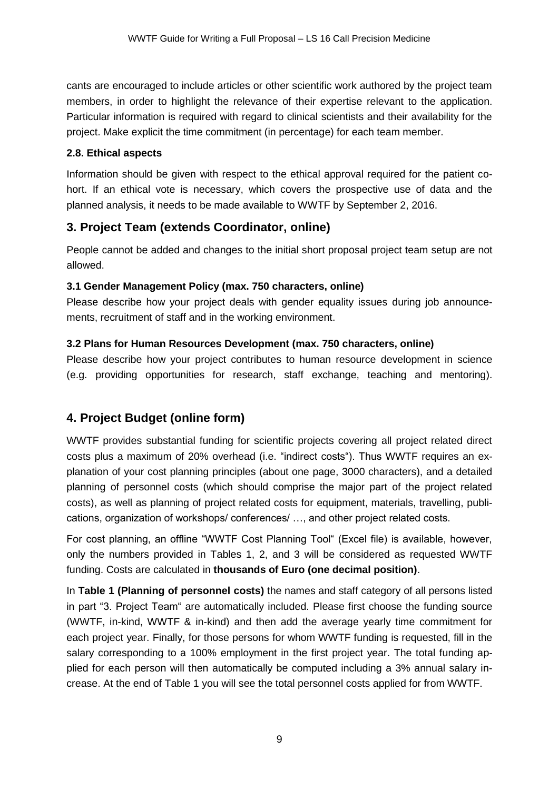cants are encouraged to include articles or other scientific work authored by the project team members, in order to highlight the relevance of their expertise relevant to the application. Particular information is required with regard to clinical scientists and their availability for the project. Make explicit the time commitment (in percentage) for each team member.

#### **2.8. Ethical aspects**

Information should be given with respect to the ethical approval required for the patient cohort. If an ethical vote is necessary, which covers the prospective use of data and the planned analysis, it needs to be made available to WWTF by September 2, 2016.

### **3. Project Team (extends Coordinator, online)**

People cannot be added and changes to the initial short proposal project team setup are not allowed.

#### **3.1 Gender Management Policy (max. 750 characters, online)**

Please describe how your project deals with gender equality issues during job announcements, recruitment of staff and in the working environment.

#### **3.2 Plans for Human Resources Development (max. 750 characters, online)**

Please describe how your project contributes to human resource development in science (e.g. providing opportunities for research, staff exchange, teaching and mentoring).

## **4. Project Budget (online form)**

WWTF provides substantial funding for scientific projects covering all project related direct costs plus a maximum of 20% overhead (i.e. "indirect costs"). Thus WWTF requires an explanation of your cost planning principles (about one page, 3000 characters), and a detailed planning of personnel costs (which should comprise the major part of the project related costs), as well as planning of project related costs for equipment, materials, travelling, publications, organization of workshops/ conferences/ …, and other project related costs.

For cost planning, an offline "WWTF Cost Planning Tool" (Excel file) is available, however, only the numbers provided in Tables 1, 2, and 3 will be considered as requested WWTF funding. Costs are calculated in **thousands of Euro (one decimal position)**.

In **Table 1 (Planning of personnel costs)** the names and staff category of all persons listed in part "3. Project Team" are automatically included. Please first choose the funding source (WWTF, in-kind, WWTF & in-kind) and then add the average yearly time commitment for each project year. Finally, for those persons for whom WWTF funding is requested, fill in the salary corresponding to a 100% employment in the first project year. The total funding applied for each person will then automatically be computed including a 3% annual salary increase. At the end of Table 1 you will see the total personnel costs applied for from WWTF.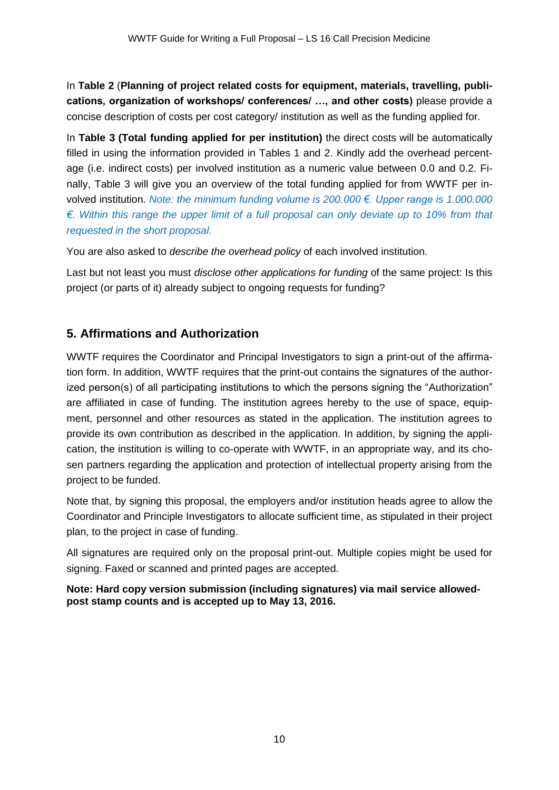In **Table 2** (**Planning of project related costs for equipment, materials, travelling, publications, organization of workshops/ conferences/ …, and other costs)** please provide a concise description of costs per cost category/ institution as well as the funding applied for.

In **Table 3 (Total funding applied for per institution)** the direct costs will be automatically filled in using the information provided in Tables 1 and 2. Kindly add the overhead percentage (i.e. indirect costs) per involved institution as a numeric value between 0.0 and 0.2. Finally, Table 3 will give you an overview of the total funding applied for from WWTF per involved institution. *Note: the minimum funding volume is 200.000 €. Upper range is 1.000.000 €. Within this range the upper limit of a full proposal can only deviate up to 10% from that requested in the short proposal.*

You are also asked to *describe the overhead policy* of each involved institution.

Last but not least you must *disclose other applications for funding* of the same project: Is this project (or parts of it) already subject to ongoing requests for funding?

## **5. Affirmations and Authorization**

WWTF requires the Coordinator and Principal Investigators to sign a print-out of the affirmation form. In addition, WWTF requires that the print-out contains the signatures of the authorized person(s) of all participating institutions to which the persons signing the "Authorization" are affiliated in case of funding. The institution agrees hereby to the use of space, equipment, personnel and other resources as stated in the application. The institution agrees to provide its own contribution as described in the application. In addition, by signing the application, the institution is willing to co-operate with WWTF, in an appropriate way, and its chosen partners regarding the application and protection of intellectual property arising from the project to be funded.

Note that, by signing this proposal, the employers and/or institution heads agree to allow the Coordinator and Principle Investigators to allocate sufficient time, as stipulated in their project plan, to the project in case of funding.

All signatures are required only on the proposal print-out. Multiple copies might be used for signing. Faxed or scanned and printed pages are accepted.

**Note: Hard copy version submission (including signatures) via mail service allowedpost stamp counts and is accepted up to May 13, 2016.**